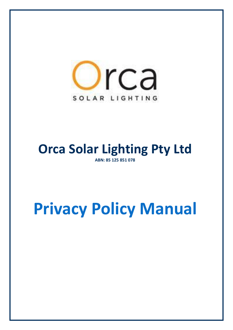

# **Orca Solar Lighting Pty Ltd ABN: 85 125 851 078**

# **Privacy Policy Manual**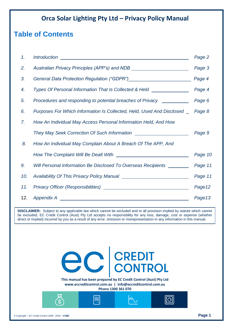# **Table of Contents**

| 1.  | <i><b>Introduction</b></i><br><u> 1980 - Johann Barbara, martxa alemaniar amerikan a</u>            | Page 2  |
|-----|-----------------------------------------------------------------------------------------------------|---------|
| 2.  | Australian Privacy Principles (APP's) and NDB __________________________________                    | Page 3  |
| 3.  |                                                                                                     | Page 4  |
| 4.  | Types Of Personal Information That Is Collected & Held _______________                              | Page 4  |
| 5.  | Procedures and responding to potential breaches of Privacy <b>Fright</b>                            | Page 6  |
| 6.  | Purposes For Which Information Is Collected, Held, Used And Disclosed _                             | Page 8  |
| 7.  | How An Individual May Access Personal Information Held, And How                                     |         |
|     | They May Seek Correction Of Such Information ___________________________________                    | Page 9  |
| 8.  | How An Individual May Complain About A Breach Of The APP, And                                       |         |
|     |                                                                                                     | Page 10 |
| 9.  | Will Personal Information Be Disclosed To Overseas Recipients __________                            | Page 11 |
| 10. | Availability Of This Privacy Policy Manual [1945] [1945] Availability Of This Privacy Policy Manual | Page 11 |
| 11. |                                                                                                     | Page12  |
| 12. | Appendix A                                                                                          | Page13  |

**DISCLAIMER:** Subject to any applicable law which cannot be excluded and to all provision implied by statute which cannot be excluded, EC Credit Control (Aust) Pty Ltd accepts no responsibility for any loss, damage, cost or expense (whether direct or implied) incurred by you as a result of any error, omission or misrepresentation in any information in this manual.

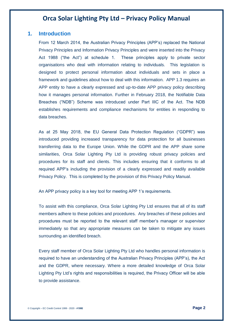# **1. Introduction**

From 12 March 2014, the Australian Privacy Principles (APP's) replaced the National Privacy Principles and Information Privacy Principles and were inserted into the Privacy Act 1988 ("the Act") at schedule 1. These principles apply to private sector organisations who deal with information relating to individuals. This legislation is designed to protect personal information about individuals and sets in place a framework and guidelines about how to deal with this information. APP 1.3 requires an APP entity to have a clearly expressed and up-to-date APP privacy policy describing how it manages personal information. Further in February 2018, the Notifiable Data Breaches ("NDB") Scheme was introduced under Part IIIC of the Act. The NDB establishes requirements and compliance mechanisms for entities in responding to data breaches.

As at 25 May 2018, the EU General Data Protection Regulation ("GDPR") was introduced providing increased transparency for data protection for all businesses transferring data to the Europe Union. While the GDPR and the APP share some similarities, Orca Solar Lighting Pty Ltd is providing robust privacy policies and procedures for its staff and clients. This includes ensuring that it conforms to all required APP's including the provision of a clearly expressed and readily available Privacy Policy. This is completed by the provision of this Privacy Policy Manual.

An APP privacy policy is a key tool for meeting APP 1's requirements.

To assist with this compliance, Orca Solar Lighting Pty Ltd ensures that all of its staff members adhere to these policies and procedures. Any breaches of these policies and procedures must be reported to the relevant staff member's manager or supervisor immediately so that any appropriate measures can be taken to mitigate any issues surrounding an identified breach.

Every staff member of Orca Solar Lighting Pty Ltd who handles personal information is required to have an understanding of the Australian Privacy Principles (APP's), the Act and the GDPR, where necessary. Where a more detailed knowledge of Orca Solar Lighting Pty Ltd's rights and responsibilities is required, the Privacy Officer will be able to provide assistance.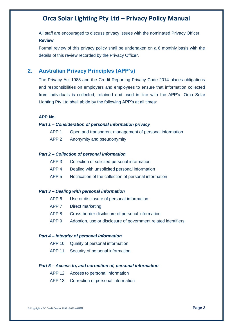All staff are encouraged to discuss privacy issues with the nominated Privacy Officer. **Review**

Formal review of this privacy policy shall be undertaken on a 6 monthly basis with the details of this review recorded by the Privacy Officer.

# **2. Australian Privacy Principles (APP's)**

The Privacy Act 1988 and the Credit Reporting Privacy Code 2014 places obligations and responsibilities on employers and employees to ensure that information collected from individuals is collected, retained and used in line with the APP's. Orca Solar Lighting Pty Ltd shall abide by the following APP's at all times:

## **APP No.**

## *Part 1 – Consideration of personal information privacy*

- APP 1 Open and transparent management of personal information
- APP 2 Anonymity and pseudonymity

## *Part 2 – Collection of personal information*

- APP 3 Collection of solicited personal information
- APP 4 Dealing with unsolicited personal information
- APP 5 Notification of the collection of personal information

## *Part 3 – Dealing with personal information*

- APP 6 Use or disclosure of personal information
- APP 7 Direct marketing
- APP 8 Cross-border disclosure of personal information
- APP 9 Adoption, use or disclosure of government related identifiers

## *Part 4 – Integrity of personal information*

- APP 10 Quality of personal information
- APP 11 Security of personal information

## *Part 5 – Access to, and correction of, personal information*

- APP 12 Access to personal information
- APP 13 Correction of personal information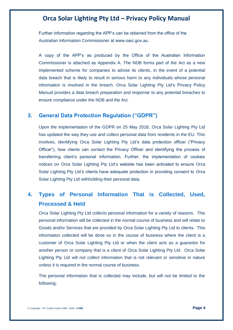Further information regarding the APP's can be obtained from the office of the Australian Information Commissioner at www.oaic.gov.au.

A copy of the APP's as produced by the Office of the Australian Information Commissioner is attached as Appendix A. The NDB forms part of the Act as a new implemented scheme for companies to advise its clients, in the event of a potential data breach that is likely to result in serious harm to any individuals whose personal information is involved in the breach. Orca Solar Lighting Pty Ltd's Privacy Policy Manual provides a data breach preparation and response to any potential breaches to ensure compliance under the NDB and the Act.

# **3. General Data Protection Regulation ("GDPR")**

Upon the implementation of the GDPR on 25 May 2018, Orca Solar Lighting Pty Ltd has updated the way they use and collect personal data from residents in the EU. This involves, identifying Orca Solar Lighting Pty Ltd's data protection officer ("Privacy Officer"), how clients can contact the Privacy Officer and identifying the process of transferring client's personal information. Further, the implementation of cookies notices on Orca Solar Lighting Pty Ltd's website has been activated to ensure Orca Solar Lighting Pty Ltd's clients have adequate protection in providing consent to Orca Solar Lighting Pty Ltd withholding their personal data.

# **4. Types of Personal Information That is Collected, Used, Processed & Held**

Orca Solar Lighting Pty Ltd collects personal information for a variety of reasons. This personal information will be collected in the normal course of business and will relate to Goods and/or Services that are provided by Orca Solar Lighting Pty Ltd to clients. This information collected will be done so in the course of business where the client is a customer of Orca Solar Lighting Pty Ltd or when the client acts as a guarantor for another person or company that is a client of Orca Solar Lighting Pty Ltd. Orca Solar Lighting Pty Ltd will not collect information that is not relevant or sensitive in nature unless it is required in the normal course of business.

The personal information that is collected may include, but will not be limited to the following;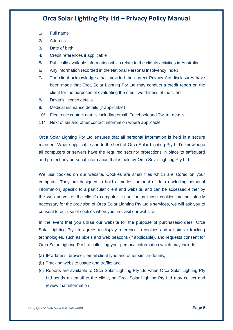- 1/ Full name
- 2/ Address
- 3/ Date of birth
- 4/ Credit references if applicable
- 5/ Publically available information which relate to the clients activities in Australia
- 6/ Any information recorded in the National Personal Insolvency Index
- 7/ The client acknowledges that provided the correct Privacy Act disclosures have been made that Orca Solar Lighting Pty Ltd may conduct a credit report on the client for the purposes of evaluating the credit worthiness of the client.
- 8/ Driver's licence details
- 9/ Medical insurance details (if applicable)
- 10/ Electronic contact details including email, Facebook and Twitter details
- 11/ Next of kin and other contact information where applicable

Orca Solar Lighting Pty Ltd ensures that all personal information is held in a secure manner. Where applicable and to the best of Orca Solar Lighting Pty Ltd's knowledge all computers or servers have the required security protections in place to safeguard and protect any personal information that is held by Orca Solar Lighting Pty Ltd.

We use cookies on our website. Cookies are small files which are stored on your computer. They are designed to hold a modest amount of data (including personal information) specific to a particular client and website, and can be accessed either by the web server or the client's computer. In so far as those cookies are not strictly necessary for the provision of Orca Solar Lighting Pty Ltd's services, we will ask you to consent to our use of cookies when you first visit our website.

In the event that you utilise our website for the purpose of purchases/orders, Orca Solar Lighting Pty Ltd agrees to display reference to cookies and /or similar tracking technologies, such as pixels and web beacons (if applicable), and requests consent for Orca Solar Lighting Pty Ltd collecting your personal information which may include:

- (a) IP address, browser, email client type and other similar details;
- (b) Tracking website usage and traffic; and
- (c) Reports are available to Orca Solar Lighting Pty Ltd when Orca Solar Lighting Pty Ltd sends an email to the client, so Orca Solar Lighting Pty Ltd may collect and review that information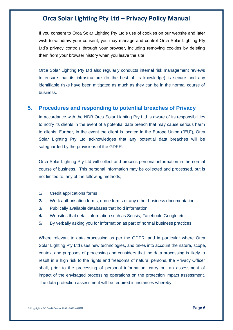If you consent to Orca Solar Lighting Pty Ltd's use of cookies on our website and later wish to withdraw your consent, you may manage and control Orca Solar Lighting Pty Ltd's privacy controls through your browser, including removing cookies by deleting them from your browser history when you leave the site.

Orca Solar Lighting Pty Ltd also regularly conducts internal risk management reviews to ensure that its infrastructure (to the best of its knowledge) is secure and any identifiable risks have been mitigated as much as they can be in the normal course of business.

## **5. Procedures and responding to potential breaches of Privacy**

In accordance with the NDB Orca Solar Lighting Pty Ltd is aware of its responsibilities to notify its clients in the event of a potential data breach that may cause serious harm to clients. Further, in the event the client is located in the Europe Union ("EU"), Orca Solar Lighting Pty Ltd acknowledges that any potential data breaches will be safeguarded by the provisions of the GDPR.

Orca Solar Lighting Pty Ltd will collect and process personal information in the normal course of business. This personal information may be collected and processed, but is not limited to, any of the following methods;

- 1/ Credit applications forms
- 2/ Work authorisation forms, quote forms or any other business documentation
- 3/ Publically available databases that hold information
- 4/ Websites that detail information such as Sensis, Facebook, Google etc
- 5/ By verbally asking you for information as part of normal business practices

Where relevant to data processing as per the GDPR, and in particular where Orca Solar Lighting Pty Ltd uses new technologies, and takes into account the nature, scope, context and purposes of processing and considers that the data processing is likely to result in a high risk to the rights and freedoms of natural persons, the Privacy Officer shall, prior to the processing of personal information, carry out an assessment of impact of the envisaged processing operations on the protection impact assessment. The data protection assessment will be required in instances whereby: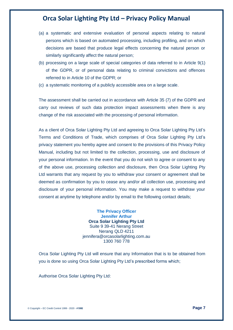- (a) a systematic and extensive evaluation of personal aspects relating to natural persons which is based on automated processing, including profiling, and on which decisions are based that produce legal effects concerning the natural person or similarly significantly affect the natural person;
- (b) processing on a large scale of special categories of data referred to in [Article 9\(](https://gdpr-info.eu/art-9-gdpr/)1) of the GDPR, or of personal data relating to criminal convictions and offences referred to in [Article 10](https://gdpr-info.eu/art-10-gdpr/) of the GDPR; or
- (c) a systematic monitoring of a publicly accessible area on a large scale.

The assessment shall be carried out in accordance with Article 35 (7) of the GDPR and carry out reviews of such data protection impact assessments when there is any change of the risk associated with the processing of personal information.

As a client of Orca Solar Lighting Pty Ltd and agreeing to Orca Solar Lighting Pty Ltd's Terms and Conditions of Trade, which comprises of Orca Solar Lighting Pty Ltd's privacy statement you hereby agree and consent to the provisions of this Privacy Policy Manual, including but not limited to the collection, processing, use and disclosure of your personal information. In the event that you do not wish to agree or consent to any of the above use, processing collection and disclosure, then Orca Solar Lighting Pty Ltd warrants that any request by you to withdraw your consent or agreement shall be deemed as confirmation by you to cease any and/or all collection use, processing and disclosure of your personal information. You may make a request to withdraw your consent at anytime by telephone and/or by email to the following contact details;

> **The Privacy Officer Jennifer Arthur Orca Solar Lighting Pty Ltd** Suite 9 39-41 Nerang Street Nerang QLD 4211 jennifera@orcasolarlighting.com.au 1300 760 778

Orca Solar Lighting Pty Ltd will ensure that any Information that is to be obtained from you is done so using Orca Solar Lighting Pty Ltd's prescribed forms which;

Authorise Orca Solar Lighting Pty Ltd: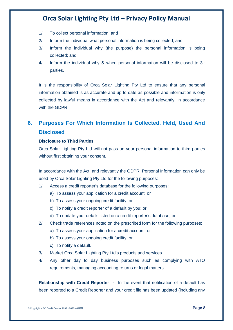- 1/ To collect personal information; and
- 2/ Inform the individual what personal information is being collected; and
- 3/ Inform the individual why (the purpose) the personal information is being collected; and
- 4/ Inform the individual why & when personal information will be disclosed to  $3<sup>rd</sup>$ parties.

It is the responsibility of Orca Solar Lighting Pty Ltd to ensure that any personal information obtained is as accurate and up to date as possible and information is only collected by lawful means in accordance with the Act and relevantly, in accordance with the GDPR.

# **6. Purposes For Which Information Is Collected, Held, Used And Disclosed**

## **Disclosure to Third Parties**

Orca Solar Lighting Pty Ltd will not pass on your personal information to third parties without first obtaining your consent.

In accordance with the Act, and relevantly the GDPR, Personal Information can only be used by Orca Solar Lighting Pty Ltd for the following purposes:

- 1/ Access a credit reporter's database for the following purposes:
	- a) To assess your application for a credit account; or
	- b) To assess your ongoing credit facility; or
	- c) To notify a credit reporter of a default by you; or
	- d) To update your details listed on a credit reporter's database; or
- 2/ Check trade references noted on the prescribed form for the following purposes:
	- a) To assess your application for a credit account; or
	- b) To assess your ongoing credit facility; or
	- c) To notify a default.
- 3/ Market Orca Solar Lighting Pty Ltd's products and services.
- 4/ Any other day to day business purposes such as complying with ATO requirements, managing accounting returns or legal matters.

**Relationship with Credit Reporter -** In the event that notification of a default has been reported to a Credit Reporter and your credit file has been updated (including any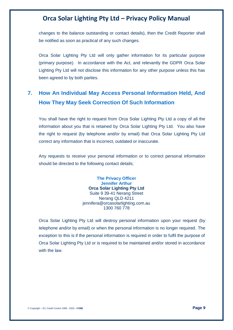changes to the balance outstanding or contact details), then the Credit Reporter shall be notified as soon as practical of any such changes.

Orca Solar Lighting Pty Ltd will only gather information for its particular purpose (primary purpose). In accordance with the Act, and relevantly the GDPR Orca Solar Lighting Pty Ltd will not disclose this information for any other purpose unless this has been agreed to by both parties.

# **7. How An Individual May Access Personal Information Held, And How They May Seek Correction Of Such Information**

You shall have the right to request from Orca Solar Lighting Pty Ltd a copy of all the information about you that is retained by Orca Solar Lighting Pty Ltd. You also have the right to request (by telephone and/or by email) that Orca Solar Lighting Pty Ltd correct any information that is incorrect, outdated or inaccurate.

Any requests to receive your personal information or to correct personal information should be directed to the following contact details;

> **The Privacy Officer Jennifer Arthur Orca Solar Lighting Pty Ltd** Suite 9 39-41 Nerang Street Nerang QLD 4211 jennifera@orcasolarlighting.com.au 1300 760 778

Orca Solar Lighting Pty Ltd will destroy personal information upon your request (by telephone and/or by email) or when the personal information is no longer required. The exception to this is if the personal information is required in order to fulfil the purpose of Orca Solar Lighting Pty Ltd or is required to be maintained and/or stored in accordance with the law.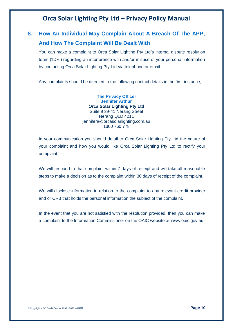# **8. How An Individual May Complain About A Breach Of The APP, And How The Complaint Will Be Dealt With**

You can make a complaint to Orca Solar Lighting Pty Ltd's internal dispute resolution team ('IDR') regarding an interference with and/or misuse of your personal information by contacting Orca Solar Lighting Pty Ltd via telephone or email.

Any complaints should be directed to the following contact details in the first instance;

**The Privacy Officer Jennifer Arthur Orca Solar Lighting Pty Ltd** Suite 9 39-41 Nerang Street Nerang QLD 4211 jennifera@orcasolarlighting.com.au 1300 760 778

In your communication you should detail to Orca Solar Lighting Pty Ltd the nature of your complaint and how you would like Orca Solar Lighting Pty Ltd to rectify your complaint.

We will respond to that complaint within 7 days of receipt and will take all reasonable steps to make a decision as to the complaint within 30 days of receipt of the complaint.

We will disclose information in relation to the complaint to any relevant credit provider and or CRB that holds the personal information the subject of the complaint.

In the event that you are not satisfied with the resolution provided, then you can make a complaint to the Information Commissioner on the OAIC website at [www.oaic.gov.au](http://www.oaic.gov.au/)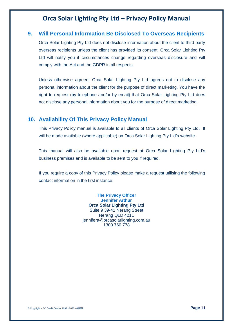# **9. Will Personal Information Be Disclosed To Overseas Recipients**

Orca Solar Lighting Pty Ltd does not disclose information about the client to third party overseas recipients unless the client has provided its consent. Orca Solar Lighting Pty Ltd will notify you if circumstances change regarding overseas disclosure and will comply with the Act and the GDPR in all respects.

Unless otherwise agreed, Orca Solar Lighting Pty Ltd agrees not to disclose any personal information about the client for the purpose of direct marketing. You have the right to request (by telephone and/or by email) that Orca Solar Lighting Pty Ltd does not disclose any personal information about you for the purpose of direct marketing.

# **10. Availability Of This Privacy Policy Manual**

This Privacy Policy manual is available to all clients of Orca Solar Lighting Pty Ltd. It will be made available (where applicable) on Orca Solar Lighting Pty Ltd's website.

This manual will also be available upon request at Orca Solar Lighting Pty Ltd's business premises and is available to be sent to you if required.

If you require a copy of this Privacy Policy please make a request utilising the following contact information in the first instance:

> **The Privacy Officer Jennifer Arthur Orca Solar Lighting Pty Ltd** Suite 9 39-41 Nerang Street Nerang QLD 4211 jennifera@orcasolarlighting.com.au 1300 760 778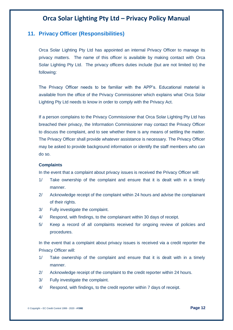# **11. Privacy Officer (Responsibilities)**

Orca Solar Lighting Pty Ltd has appointed an internal Privacy Officer to manage its privacy matters. The name of this officer is available by making contact with Orca Solar Lighting Pty Ltd. The privacy officers duties include (but are not limited to) the following:

The Privacy Officer needs to be familiar with the APP's. Educational material is available from the office of the Privacy Commissioner which explains what Orca Solar Lighting Pty Ltd needs to know in order to comply with the Privacy Act.

If a person complains to the Privacy Commissioner that Orca Solar Lighting Pty Ltd has breached their privacy, the Information Commissioner may contact the Privacy Officer to discuss the complaint, and to see whether there is any means of settling the matter. The Privacy Officer shall provide whatever assistance is necessary. The Privacy Officer may be asked to provide background information or identify the staff members who can do so.

## **Complaints**

In the event that a complaint about privacy issues is received the Privacy Officer will:

- 1/ Take ownership of the complaint and ensure that it is dealt with in a timely manner.
- 2/ Acknowledge receipt of the complaint within 24 hours and advise the complainant of their rights.
- 3/ Fully investigate the complaint.
- 4/ Respond, with findings, to the complainant within 30 days of receipt.
- 5/ Keep a record of all complaints received for ongoing review of policies and procedures.

In the event that a complaint about privacy issues is received via a credit reporter the Privacy Officer will:

- 1/ Take ownership of the complaint and ensure that it is dealt with in a timely manner.
- 2/ Acknowledge receipt of the complaint to the credit reporter within 24 hours.
- 3/ Fully investigate the complaint.
- 4/ Respond, with findings, to the credit reporter within 7 days of receipt.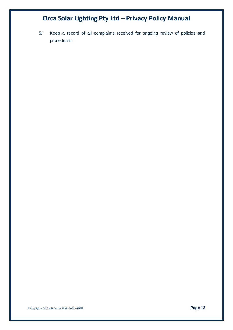5/ Keep a record of all complaints received for ongoing review of policies and procedures.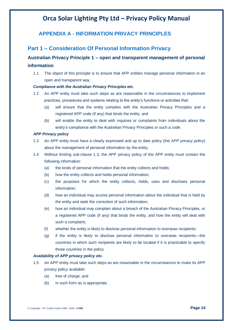# **APPENDIX A - INFORMATION PRIVACY PRINCIPLES**

# **Part 1 – Consideration Of Personal Information Privacy**

# **Australian Privacy Principle 1 – open and transparent management of personal information**

1.1 The object of this principle is to ensure that APP entities manage personal information in an open and transparent way.

## *Compliance with the Australian Privacy Principles etc.*

- 1.2 An APP entity must take such steps as are reasonable in the circumstances to implement practices, procedures and systems relating to the entity's functions or activities that:
	- (a) will ensure that the entity complies with the Australian Privacy Principles and a registered APP code (if any) that binds the entity; and
	- (b) will enable the entity to deal with inquiries or complaints from individuals about the entity's compliance with the Australian Privacy Principles or such a code.

## *APP Privacy policy*

- 1.3 An APP entity must have a clearly expressed and up to date policy (the *APP privacy policy*) about the management of personal information by the entity.
- 1.4 Without limiting sub-clause 1.3, the APP privacy policy of the APP entity must contain the following information:
	- (a) the kinds of personal information that the entity collects and holds;
	- (b) how the entity collects and holds personal information;
	- (c) the purposes for which the entity collects, holds, uses and discloses personal information;
	- (d) how an individual may access personal information about the individual that is held by the entity and seek the correction of such information;
	- (e) how an individual may complain about a breach of the Australian Privacy Principles, or a registered APP code (if any) that binds the entity, and how the entity will deal with such a complaint;
	- (f) whether the entity is likely to disclose personal information to overseas recipients;
	- (g) if the entity is likely to disclose personal information to overseas recipients—the countries in which such recipients are likely to be located if it is practicable to specify those countries in the policy.

#### *Availability of APP privacy policy etc.*

- 1.5 An APP entity must take such steps as are reasonable in the circumstances to make its APP privacy policy available:
	- (a) free of charge; and
	- (b) in such form as is appropriate.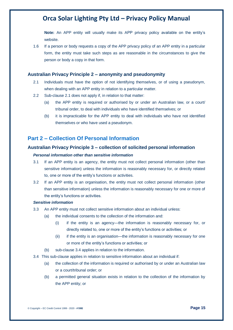**Note:** An APP entity will usually make its APP privacy policy available on the entity's website.

1.6 If a person or body requests a copy of the APP privacy policy of an APP entity in a particular form, the entity must take such steps as are reasonable in the circumstances to give the person or body a copy in that form.

## **Australian Privacy Principle 2 – anonymity and pseudonymity**

- 2.1 Individuals must have the option of not identifying themselves, or of using a pseudonym, when dealing with an APP entity in relation to a particular matter.
- 2.2 Sub-clause 2.1 does not apply if, in relation to that matter:
	- (a) the APP entity is required or authorised by or under an Australian law, or a court/ tribunal order, to deal with individuals who have identified themselves; or
	- (b) it is impracticable for the APP entity to deal with individuals who have not identified themselves or who have used a pseudonym.

# **Part 2 – Collection Of Personal Information**

## **Australian Privacy Principle 3 – collection of solicited personal information**

#### *Personal information other than sensitive information*

- 3.1 If an APP entity is an agency, the entity must not collect personal information (other than sensitive information) unless the information is reasonably necessary for, or directly related to, one or more of the entity's functions or activities.
- 3.2 If an APP entity is an organisation, the entity must not collect personal information (other than sensitive information) unless the information is reasonably necessary for one or more of the entity's functions or activities.

#### *Sensitive information*

- 3.3 An APP entity must not collect sensitive information about an individual unless:
	- (a) the individual consents to the collection of the information and:
		- (i) if the entity is an agency—the information is reasonably necessary for, or directly related to, one or more of the entity's functions or activities; or
		- (ii) if the entity is an organisation—the information is reasonably necessary for one or more of the entity's functions or activities; or
	- (b) sub-clause 3.4 applies in relation to the information.
- 3.4 This sub-clause applies in relation to sensitive information about an individual if:
	- (a) the collection of the information is required or authorised by or under an Australian law or a court/tribunal order; or
	- (b) a permitted general situation exists in relation to the collection of the information by the APP entity; or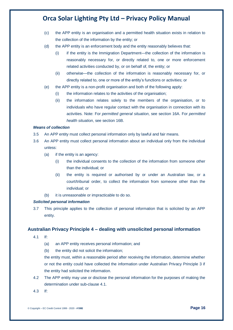- (c) the APP entity is an organisation and a permitted health situation exists in relation to the collection of the information by the entity; or
- (d) the APP entity is an enforcement body and the entity reasonably believes that:
	- (i) if the entity is the Immigration Department—the collection of the information is reasonably necessary for, or directly related to, one or more enforcement related activities conducted by, or on behalf of, the entity; or
	- (ii) otherwise—the collection of the information is reasonably necessary for, or directly related to, one or more of the entity's functions or activities; or
- (e) the APP entity is a non-profit organisation and both of the following apply:
	- (i) the information relates to the activities of the organisation;
	- (ii) the information relates solely to the members of the organisation, or to individuals who have regular contact with the organisation in connection with its activities. Note: For *permitted general situation*, see section 16A. For *permitted health situation*, see section 16B.

## *Means of collection*

- 3.5 An APP entity must collect personal information only by lawful and fair means.
- 3.6 An APP entity must collect personal information about an individual only from the individual unless:
	- (a) if the entity is an agency:
		- (i) the individual consents to the collection of the information from someone other than the individual; or
		- (ii) the entity is required or authorised by or under an Australian law, or a court/tribunal order, to collect the information from someone other than the individual; or
	- (b) it is unreasonable or impracticable to do so.

## *Solicited personal information*

3.7 This principle applies to the collection of personal information that is solicited by an APP entity.

## **Australian Privacy Principle 4 – dealing with unsolicited personal information**

- 4.1 If:
	- (a) an APP entity receives personal information; and
	- (b) the entity did not solicit the information;

the entity must, within a reasonable period after receiving the information, determine whether or not the entity could have collected the information under Australian Privacy Principle 3 if the entity had solicited the information.

- 4.2 The APP entity may use or disclose the personal information for the purposes of making the determination under sub-clause 4.1.
- 4.3 If: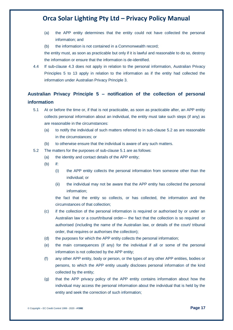- (a) the APP entity determines that the entity could not have collected the personal information; and
- (b) the information is not contained in a Commonwealth record;

the entity must, as soon as practicable but only if it is lawful and reasonable to do so, destroy the information or ensure that the information is de-identified.

4.4 If sub-clause 4.3 does not apply in relation to the personal information, Australian Privacy Principles 5 to 13 apply in relation to the information as if the entity had collected the information under Australian Privacy Principle 3.

# **Australian Privacy Principle 5 – notification of the collection of personal information**

- 5.1 At or before the time or, if that is not practicable, as soon as practicable after, an APP entity collects personal information about an individual, the entity must take such steps (if any) as are reasonable in the circumstances:
	- (a) to notify the individual of such matters referred to in sub-clause 5.2 as are reasonable in the circumstances; or
	- (b) to otherwise ensure that the individual is aware of any such matters.
- 5.2 The matters for the purposes of sub-clause 5.1 are as follows:
	- (a) the identity and contact details of the APP entity;
	- (b) if:
		- (i) the APP entity collects the personal information from someone other than the individual; or
		- (ii) the individual may not be aware that the APP entity has collected the personal information;

the fact that the entity so collects, or has collected, the information and the circumstances of that collection;

- (c) if the collection of the personal information is required or authorised by or under an Australian law or a court/tribunal order— the fact that the collection is so required or authorised (including the name of the Australian law, or details of the court/ tribunal order, that requires or authorises the collection);
- (d) the purposes for which the APP entity collects the personal information;
- (e) the main consequences (if any) for the individual if all or some of the personal information is not collected by the APP entity;
- (f) any other APP entity, body or person, or the types of any other APP entities, bodies or persons, to which the APP entity usually discloses personal information of the kind collected by the entity;
- (g) that the APP privacy policy of the APP entity contains information about how the individual may access the personal information about the individual that is held by the entity and seek the correction of such information;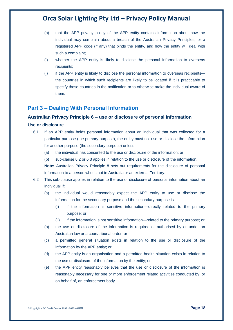- (h) that the APP privacy policy of the APP entity contains information about how the individual may complain about a breach of the Australian Privacy Principles, or a registered APP code (if any) that binds the entity, and how the entity will deal with such a complaint;
- (i) whether the APP entity is likely to disclose the personal information to overseas recipients;
- (i) if the APP entity is likely to disclose the personal information to overseas recipients the countries in which such recipients are likely to be located if it is practicable to specify those countries in the notification or to otherwise make the individual aware of them.

## **Part 3 – Dealing With Personal Information**

## **Australian Privacy Principle 6 – use or disclosure of personal information**

## **Use or disclosure**

- 6.1 If an APP entity holds personal information about an individual that was collected for a particular purpose (the primary purpose), the entity must not use or disclose the information for another purpose (the secondary purpose) unless:
	- (a) the individual has consented to the use or disclosure of the information; or
	- (b) sub-clause 6.2 or 6.3 applies in relation to the use or disclosure of the information.

**Note:** Australian Privacy Principle 8 sets out requirements for the disclosure of personal information to a person who is not in Australia or an external Territory.

- 6.2 This sub-clause applies in relation to the use or disclosure of personal information about an individual if:
	- (a) the individual would reasonably expect the APP entity to use or disclose the information for the secondary purpose and the secondary purpose is:
		- (i) if the information is sensitive information—directly related to the primary purpose; or
		- (ii) if the information is not sensitive information—related to the primary purpose; or
	- (b) the use or disclosure of the information is required or authorised by or under an Australian law or a court/tribunal order; or
	- (c) a permitted general situation exists in relation to the use or disclosure of the information by the APP entity; or
	- (d) the APP entity is an organisation and a permitted health situation exists in relation to the use or disclosure of the information by the entity; or
	- (e) the APP entity reasonably believes that the use or disclosure of the information is reasonably necessary for one or more enforcement related activities conducted by, or on behalf of, an enforcement body.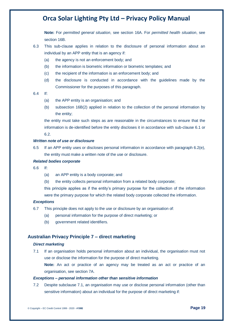**Note:** For *permitted general situation*, see section 16A. For *permitted health situation*, see section 16B.

- 6.3 This sub-clause applies in relation to the disclosure of personal information about an individual by an APP entity that is an agency if:
	- (a) the agency is not an enforcement body; and
	- (b) the information is biometric information or biometric templates; and
	- (c) the recipient of the information is an enforcement body; and
	- (d) the disclosure is conducted in accordance with the guidelines made by the Commissioner for the purposes of this paragraph.
- 6.4 If:
	- (a) the APP entity is an organisation; and
	- (b) subsection 16B(2) applied in relation to the collection of the personal information by the entity;

the entity must take such steps as are reasonable in the circumstances to ensure that the information is de-identified before the entity discloses it in accordance with sub-clause 6.1 or 6.2.

#### *Written note of use or disclosure*

6.5 If an APP entity uses or discloses personal information in accordance with paragraph 6.2(e), the entity must make a written note of the use or disclosure.

## *Related bodies corporate*

- 6.6 If:
	- (a) an APP entity is a body corporate; and
	- (b) the entity collects personal information from a related body corporate;

this principle applies as if the entity's primary purpose for the collection of the information were the primary purpose for which the related body corporate collected the information.

## *Exceptions*

- 6.7 This principle does not apply to the use or disclosure by an organisation of:
	- (a) personal information for the purpose of direct marketing; or
	- (b) government related identifiers.

## **Australian Privacy Principle 7 – direct marketing**

#### *Direct marketing*

7.1 If an organisation holds personal information about an individual, the organisation must not use or disclose the information for the purpose of direct marketing.

**Note:** An act or practice of an agency may be treated as an act or practice of an organisation, see section 7A.

#### *Exceptions – personal information other than sensitive information*

7.2 Despite subclause 7.1, an organisation may use or disclose personal information (other than sensitive information) about an individual for the purpose of direct marketing if: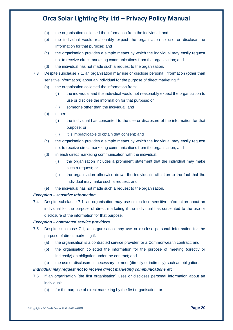- (a) the organisation collected the information from the individual; and
- (b) the individual would reasonably expect the organisation to use or disclose the information for that purpose; and
- (c) the organisation provides a simple means by which the individual may easily request not to receive direct marketing communications from the organisation; and
- (d) the individual has not made such a request to the organisation.
- 7.3 Despite subclause 7.1, an organisation may use or disclose personal information (other than sensitive information) about an individual for the purpose of direct marketing if:
	- (a) the organisation collected the information from:
		- (i) the individual and the individual would not reasonably expect the organisation to use or disclose the information for that purpose; or
		- (ii) someone other than the individual; and
	- (b) either:
		- (i) the individual has consented to the use or disclosure of the information for that purpose; or
		- (ii) it is impracticable to obtain that consent; and
	- (c) the organisation provides a simple means by which the individual may easily request not to receive direct marketing communications from the organisation; and
	- (d) in each direct marketing communication with the individual:
		- (i) the organisation includes a prominent statement that the individual may make such a request; or
		- (ii) the organisation otherwise draws the individual's attention to the fact that the individual may make such a request; and
	- (e) the individual has not made such a request to the organisation.

#### *Exception – sensitive information*

7.4 Despite subclause 7.1, an organisation may use or disclose sensitive information about an individual for the purpose of direct marketing if the individual has consented to the use or disclosure of the information for that purpose.

#### *Exception – contracted service providers*

- 7.5 Despite subclause 7.1, an organisation may use or disclose personal information for the purpose of direct marketing if:
	- (a) the organisation is a contracted service provider for a Commonwealth contract; and
	- (b) the organisation collected the information for the purpose of meeting (directly or indirectly) an obligation under the contract; and
	- (c) the use or disclosure is necessary to meet (directly or indirectly) such an obligation.

#### *Individual may request not to receive direct marketing communications etc.*

- 7.6 If an organisation (the first organisation) uses or discloses personal information about an individual:
	- (a) for the purpose of direct marketing by the first organisation; or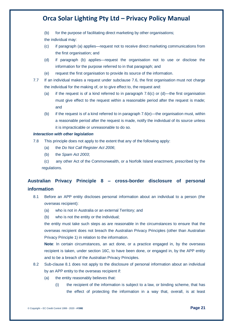(b) for the purpose of facilitating direct marketing by other organisations;

the individual may:

- (c) if paragraph (a) applies—request not to receive direct marketing communications from the first organisation; and
- (d) if paragraph (b) applies—request the organisation not to use or disclose the information for the purpose referred to in that paragraph; and
- (e) request the first organisation to provide its source of the information.

7.7 If an individual makes a request under subclause 7.6, the first organisation must not charge the individual for the making of, or to give effect to, the request and:

- (a) if the request is of a kind referred to in paragraph 7.6(c) or (d)—the first organisation must give effect to the request within a reasonable period after the request is made; and
- (b) if the request is of a kind referred to in paragraph 7.6(e)—the organisation must, within a reasonable period after the request is made, notify the individual of its source unless it is impracticable or unreasonable to do so.

#### *Interaction with other legislation*

- 7.8 This principle does not apply to the extent that any of the following apply:
	- (a) the *Do Not Call Register Act 2006*;
	- (b) the *Spam Act 2003*;

(c) any other Act of the Commonwealth, or a Norfolk Island enactment, prescribed by the regulations.

# **Australian Privacy Principle 8 – cross-border disclosure of personal information**

- 8.1 Before an APP entity discloses personal information about an individual to a person (the overseas recipient):
	- (a) who is not in Australia or an external Territory; and
	- (b) who is not the entity or the individual;

the entity must take such steps as are reasonable in the circumstances to ensure that the overseas recipient does not breach the Australian Privacy Principles (other than Australian Privacy Principle 1) in relation to the information.

**Note**: In certain circumstances, an act done, or a practice engaged in, by the overseas recipient is taken, under section 16C, to have been done, or engaged in, by the APP entity and to be a breach of the Australian Privacy Principles.

- 8.2 Sub-clause 8.1 does not apply to the disclosure of personal information about an individual by an APP entity to the overseas recipient if:
	- (a) the entity reasonably believes that:
		- (i) the recipient of the information is subject to a law, or binding scheme, that has the effect of protecting the information in a way that, overall, is at least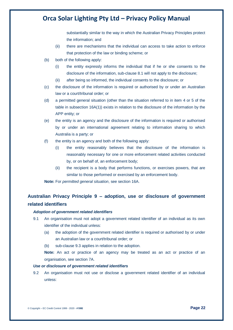substantially similar to the way in which the Australian Privacy Principles protect the information; and

- (ii) there are mechanisms that the individual can access to take action to enforce that protection of the law or binding scheme; or
- (b) both of the following apply:
	- (i) the entity expressly informs the individual that if he or she consents to the disclosure of the information, sub-clause 8.1 will not apply to the disclosure;
	- (ii) after being so informed, the individual consents to the disclosure; or
- (c) the disclosure of the information is required or authorised by or under an Australian law or a court/tribunal order; or
- (d) a permitted general situation (other than the situation referred to in item 4 or 5 of the table in subsection 16A(1)) exists in relation to the disclosure of the information by the APP entity; or
- (e) the entity is an agency and the disclosure of the information is required or authorised by or under an international agreement relating to information sharing to which Australia is a party; or
- (f) the entity is an agency and both of the following apply:
	- (i) the entity reasonably believes that the disclosure of the information is reasonably necessary for one or more enforcement related activities conducted by, or on behalf of, an enforcement body;
	- (ii) the recipient is a body that performs functions, or exercises powers, that are similar to those performed or exercised by an enforcement body.

**Note:** For *permitted general situation*, see section 16A.

# **Australian Privacy Principle 9 – adoption, use or disclosure of government related identifiers**

## *Adoption of government related identifiers*

- 9.1 An organisation must not adopt a government related identifier of an individual as its own identifier of the individual unless:
	- (a) the adoption of the government related identifier is required or authorised by or under an Australian law or a court/tribunal order; or
	- (b) sub-clause 9.3 applies in relation to the adoption.

**Note:** An act or practice of an agency may be treated as an act or practice of an organisation, see section 7A.

#### *Use or disclosure of government related identifiers*

9.2 An organisation must not use or disclose a government related identifier of an individual unless: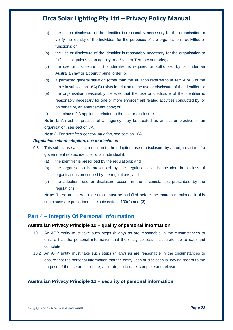- (a) the use or disclosure of the identifier is reasonably necessary for the organisation to verify the identity of the individual for the purposes of the organisation's activities or functions; or
- (b) the use or disclosure of the identifier is reasonably necessary for the organisation to fulfil its obligations to an agency or a State or Territory authority; or
- (c) the use or disclosure of the identifier is required or authorised by or under an Australian law or a court/tribunal order; or
- (d) a permitted general situation (other than the situation referred to in item 4 or 5 of the table in subsection 16A(1)) exists in relation to the use or disclosure of the identifier; or
- (e) the organisation reasonably believes that the use or disclosure of the identifier is reasonably necessary for one or more enforcement related activities conducted by, or on behalf of, an enforcement body; or
- (f) sub-clause 9.3 applies in relation to the use or disclosure.

**Note 1:** An act or practice of an agency may be treated as an act or practice of an organisation, see section 7A.

**Note 2:** For *permitted general situation*, see section 16A.

#### *Regulations about adoption, use or disclosure*

- 9.3 This sub-clause applies in relation to the adoption, use or disclosure by an organisation of a government related identifier of an individual if:
	- (a) the identifier is prescribed by the regulations; and
	- (b) the organisation is prescribed by the regulations, or is included in a class of organisations prescribed by the regulations; and
	- (c) the adoption, use or disclosure occurs in the circumstances prescribed by the regulations.

**Note:** There are prerequisites that must be satisfied before the matters mentioned in this sub-clause are prescribed, see subsections 100(2) and (3).

# **Part 4 – Integrity Of Personal Information**

## **Australian Privacy Principle 10 – quality of personal information**

- 10.1 An APP entity must take such steps (if any) as are reasonable in the circumstances to ensure that the personal information that the entity collects is accurate, up to date and complete.
- 10.2 An APP entity must take such steps (if any) as are reasonable in the circumstances to ensure that the personal information that the entity uses or discloses is, having regard to the purpose of the use or disclosure, accurate, up to date, complete and relevant.

## **Australian Privacy Principle 11 – security of personal information**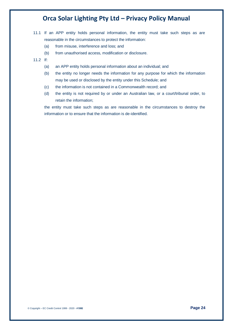- 11.1 If an APP entity holds personal information, the entity must take such steps as are reasonable in the circumstances to protect the information:
	- (a) from misuse, interference and loss; and
	- (b) from unauthorised access, modification or disclosure.
- 11.2 If:
	- (a) an APP entity holds personal information about an individual; and
	- (b) the entity no longer needs the information for any purpose for which the information may be used or disclosed by the entity under this Schedule; and
	- (c) the information is not contained in a Commonwealth record; and
	- (d) the entity is not required by or under an Australian law, or a court/tribunal order, to retain the information;

the entity must take such steps as are reasonable in the circumstances to destroy the information or to ensure that the information is de-identified.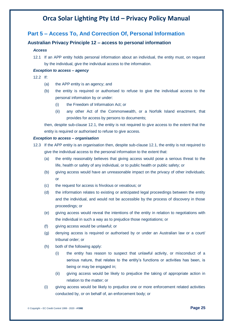# **Part 5 – Access To, And Correction Of, Personal Information**

## **Australian Privacy Principle 12 – access to personal information**

#### *Access*

12.1 If an APP entity holds personal information about an individual, the entity must, on request by the individual, give the individual access to the information.

## *Exception to access – agency*

- 12.2 If:
	- (a) the APP entity is an agency; and
	- (b) the entity is required or authorised to refuse to give the individual access to the personal information by or under:
		- (i) the Freedom of Information Act; or
		- (ii) any other Act of the Commonwealth, or a Norfolk Island enactment, that provides for access by persons to documents;

then, despite sub-clause 12.1, the entity is not required to give access to the extent that the entity is required or authorised to refuse to give access.

## *Exception to access – organisation*

- 12.3 If the APP entity is an organisation then, despite sub-clause 12.1, the entity is not required to give the individual access to the personal information to the extent that:
	- (a) the entity reasonably believes that giving access would pose a serious threat to the life, health or safety of any individual, or to public health or public safety; or
	- (b) giving access would have an unreasonable impact on the privacy of other individuals; or
	- (c) the request for access is frivolous or vexatious; or
	- (d) the information relates to existing or anticipated legal proceedings between the entity and the individual, and would not be accessible by the process of discovery in those proceedings; or
	- (e) giving access would reveal the intentions of the entity in relation to negotiations with the individual in such a way as to prejudice those negotiations; or
	- (f) giving access would be unlawful; or
	- (g) denying access is required or authorised by or under an Australian law or a court/ tribunal order; or
	- (h) both of the following apply:
		- (i) the entity has reason to suspect that unlawful activity, or misconduct of a serious nature, that relates to the entity's functions or activities has been, is being or may be engaged in;
		- (ii) giving access would be likely to prejudice the taking of appropriate action in relation to the matter; or
	- (i) giving access would be likely to prejudice one or more enforcement related activities conducted by, or on behalf of, an enforcement body; or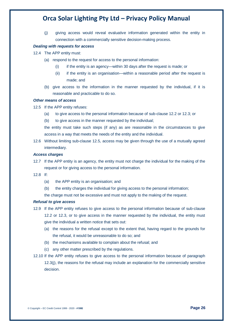(j) giving access would reveal evaluative information generated within the entity in connection with a commercially sensitive decision-making process.

#### *Dealing with requests for access*

- 12.4 The APP entity must:
	- (a) respond to the request for access to the personal information:
		- (i) if the entity is an agency—within 30 days after the request is made; or
		- (ii) if the entity is an organisation—within a reasonable period after the request is made; and
	- (b) give access to the information in the manner requested by the individual, if it is reasonable and practicable to do so.

#### *Other means of access*

- 12.5 If the APP entity refuses:
	- (a) to give access to the personal information because of sub-clause 12.2 or 12.3; or
	- (b) to give access in the manner requested by the individual;

the entity must take such steps (if any) as are reasonable in the circumstances to give access in a way that meets the needs of the entity and the individual.

12.6 Without limiting sub-clause 12.5, access may be given through the use of a mutually agreed intermediary.

## *Access charges*

- 12.7 If the APP entity is an agency, the entity must not charge the individual for the making of the request or for giving access to the personal information.
- 12.8 If:
	- (a) the APP entity is an organisation; and
	- (b) the entity charges the individual for giving access to the personal information;

the charge must not be excessive and must not apply to the making of the request.

## *Refusal to give access*

- 12.9 If the APP entity refuses to give access to the personal information because of sub-clause 12.2 or 12.3, or to give access in the manner requested by the individual, the entity must give the individual a written notice that sets out:
	- (a) the reasons for the refusal except to the extent that, having regard to the grounds for the refusal, it would be unreasonable to do so; and
	- (b) the mechanisms available to complain about the refusal; and
	- (c) any other matter prescribed by the regulations.
- 12.10 If the APP entity refuses to give access to the personal information because of paragraph 12.3(j), the reasons for the refusal may include an explanation for the commercially sensitive decision.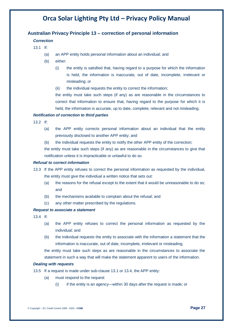## **Australian Privacy Principle 13 – correction of personal information**

## *Correction*

- 13.1 If:
	- (a) an APP entity holds personal information about an individual; and
	- (b) either:
		- (i) the entity is satisfied that, having regard to a purpose for which the information is held, the information is inaccurate, out of date, incomplete, irrelevant or misleading; or
		- (ii) the individual requests the entity to correct the information;

the entity must take such steps (if any) as are reasonable in the circumstances to correct that information to ensure that, having regard to the purpose for which it is held, the information is accurate, up to date, complete, relevant and not misleading.

#### *Notification of correction to third parties*

- 13.2 If:
	- (a) the APP entity corrects personal information about an individual that the entity previously disclosed to another APP entity; and
	- (b) the individual requests the entity to notify the other APP entity of the correction;

the entity must take such steps (if any) as are reasonable in the circumstances to give that notification unless it is impracticable or unlawful to do so.

#### *Refusal to correct information*

- 13.3 If the APP entity refuses to correct the personal information as requested by the individual, the entity must give the individual a written notice that sets out:
	- (a) the reasons for the refusal except to the extent that it would be unreasonable to do so; and
	- (b) the mechanisms available to complain about the refusal; and
	- (c) any other matter prescribed by the regulations.

## *Request to associate a statement*

- 13.4 If:
	- (a) the APP entity refuses to correct the personal information as requested by the individual; and
	- (b) the individual requests the entity to associate with the information a statement that the information is inaccurate, out of date, incomplete, irrelevant or misleading;

the entity must take such steps as are reasonable in the circumstances to associate the statement in such a way that will make the statement apparent to users of the information.

## *Dealing with requests*

13.5 If a request is made under sub-clause 13.1 or 13.4, the APP entity:

- (a) must respond to the request:
	- (i) if the entity is an agency—within 30 days after the request is made; or